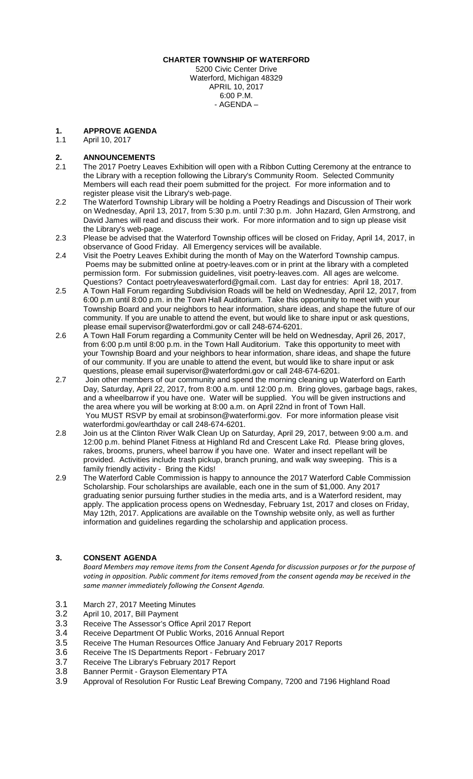#### **CHARTER TOWNSHIP OF WATERFORD**

5200 Civic Center Drive Waterford, Michigan 48329 APRIL 10, 2017 6:00 P.M. - AGENDA –

# **1. APPROVE AGENDA**

April 10, 2017

## **2. ANNOUNCEMENTS**

- 2.1 The 2017 Poetry Leaves Exhibition will open with a Ribbon Cutting Ceremony at the entrance to the Library with a reception following the Library's Community Room. Selected Community Members will each read their poem submitted for the project. For more information and to register please visit the Library's [web-page.](http://waterfordmi.gov/477/Library)
- 2.2 The Waterford Township Library will be holding a Poetry Readings and Discussion of Their work on Wednesday, April 13, 2017, from 5:30 p.m. until 7:30 p.m. John Hazard, Glen Armstrong, and David James will read and discuss their work. For more information and to sign up please visit the Library's [web-page.](http://waterfordmi.gov/477/Library)
- 2.3 Please be advised that the Waterford Township offices will be closed on Friday, April 14, 2017, in observance of Good Friday. All Emergency services will be available.
- 2.4 Visit the Poetry Leaves Exhibit during the month of May on the Waterford Township campus. Poems may be submitted online at poetry-leaves.com or in print at the library with a completed permission form. For submission guidelines, visit poetry-leaves.com. All ages are welcome. Questions? Contact poetryleaveswaterford@gmail.com. Last day for entries: April 18, 2017.
- 2.5 A Town Hall Forum regarding Subdivision Roads will be held on Wednesday, April 12, 2017, from 6:00 p.m until 8:00 p.m. in the Town Hall Auditorium. Take this opportunity to meet with your Township Board and your neighbors to hear information, share ideas, and shape the future of our community. If you are unable to attend the event, but would like to share input or ask questions, please email supervisor@waterfordmi.gov or call 248-674-6201.
- 2.6 A Town Hall Forum regarding a Community Center will be held on Wednesday, April 26, 2017, from 6:00 p.m until 8:00 p.m. in the Town Hall Auditorium. Take this opportunity to meet with your Township Board and your neighbors to hear information, share ideas, and shape the future of our community. If you are unable to attend the event, but would like to share input or ask questions, please email supervisor@waterfordmi.gov or call 248-674-6201.
- 2.7 Join other members of our community and spend the morning cleaning up Waterford on Earth Day, Saturday, April 22, 2017, from 8:00 a.m. until 12:00 p.m. Bring gloves, garbage bags, rakes, and a wheelbarrow if you have one. Water will be supplied. You will be given instructions and the area where you will be working at 8:00 a.m. on April 22nd in front of Town Hall. You MUST RSVP by email at srobinson@waterformi.gov. For more information please visit waterfordmi.gov/earthday or call 248-674-6201.
- 2.8 Join us at the Clinton River Walk Clean Up on Saturday, April 29, 2017, between 9:00 a.m. and 12:00 p.m. behind Planet Fitness at Highland Rd and Crescent Lake Rd. Please bring gloves, rakes, brooms, pruners, wheel barrow if you have one. Water and insect repellant will be provided. Activities include trash pickup, branch pruning, and walk way sweeping. This is a family friendly activity - Bring the Kids!
- 2.9 The Waterford Cable Commission is happy to announce the 2017 Waterford Cable Commission Scholarship. Four scholarships are available, each one in the sum of \$1,000. Any 2017 graduating senior pursuing further studies in the media arts, and is a Waterford resident, may apply. The application process opens on Wednesday, February 1st, 2017 and closes on Friday, May 12th, 2017. Applications are available on the Township website only, as well as further information and guidelines regarding the scholarship and application process.

#### **3. CONSENT AGENDA**

*Board Members may remove items from the Consent Agenda for discussion purposes or for the purpose of*  voting in opposition. Public comment for items removed from the consent agenda may be received in the *same manner immediately following the Consent Agenda.*

- 3.1 March 27, 2017 Meeting Minutes<br>3.2 April 10. 2017. Bill Payment
- April 10, 2017, Bill Payment
- 3.3 Receive The Assessor's Office April 2017 Report
- 3.4 Receive Department Of Public Works, 2016 Annual Report
- 3.5 Receive The Human Resources Office January And February 2017 Reports<br>3.6 Receive The IS Departments Report February 2017
- 3.6 Receive The IS Departments Report February 2017<br>3.7 Receive The Library's February 2017 Report
- 3.7 Receive The Library's February 2017 Report
- 3.8 Banner Permit Grayson Elementary PTA<br>3.9 Approval of Resolution For Rustic Leaf Bre
- Approval of Resolution For Rustic Leaf Brewing Company, 7200 and 7196 Highland Road